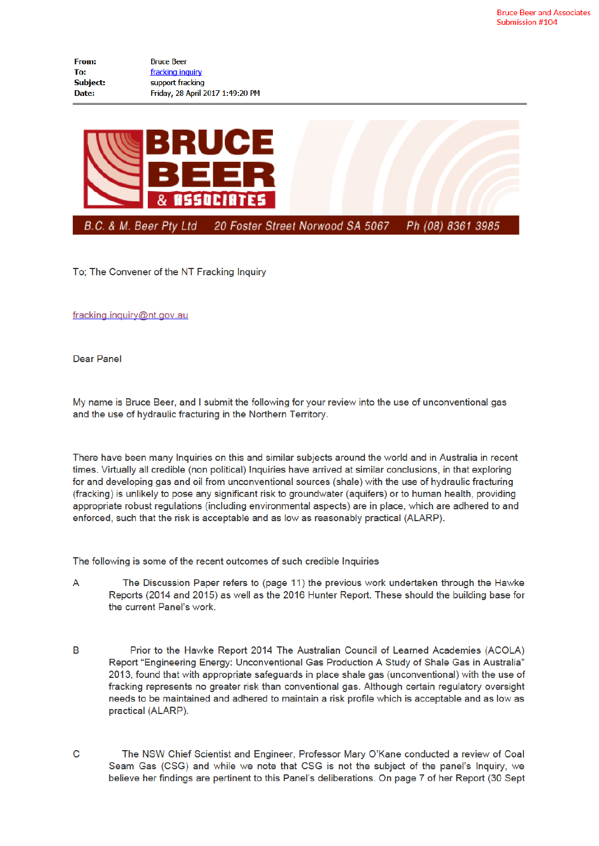| From:           | <b>Bruce Beer</b>                |
|-----------------|----------------------------------|
| To:             | fracking inquiry                 |
| <b>Subject:</b> | support fracking                 |
| Date:           | Friday, 28 April 2017 1:49:20 PM |



To; The Convener of the NT Fracking Inquiry

fracking.inquiry@nt.gov.au

**Dear Panel** 

My name is Bruce Beer, and I submit the following for your review into the use of unconventional gas and the use of hydraulic fracturing in the Northern Territory.

There have been many Inquiries on this and similar subjects around the world and in Australia in recent times. Virtually all credible (non political) Inquiries have arrived at similar conclusions, in that exploring for and developing gas and oil from unconventional sources (shale) with the use of hydraulic fracturing (fracking) is unlikely to pose any significant risk to groundwater (aquifers) or to human health, providing appropriate robust regulations (including environmental aspects) are in place, which are adhered to and enforced, such that the risk is acceptable and as low as reasonably practical (ALARP).

The following is some of the recent outcomes of such credible Inquiries

- The Discussion Paper refers to (page 11) the previous work undertaken through the Hawke A Reports (2014 and 2015) as well as the 2016 Hunter Report. These should the building base for the current Panel's work.
- B Prior to the Hawke Report 2014 The Australian Council of Learned Academies (ACOLA) Report "Engineering Energy: Unconventional Gas Production A Study of Shale Gas in Australia" 2013, found that with appropriate safeguards in place shale gas (unconventional) with the use of fracking represents no greater risk than conventional gas. Although certain regulatory oversight needs to be maintained and adhered to maintain a risk profile which is acceptable and as low as practical (ALARP).
- $\mathbf C$ The NSW Chief Scientist and Engineer, Professor Mary O'Kane conducted a review of Coal Seam Gas (CSG) and while we note that CSG is not the subject of the panel's Inquiry, we believe her findings are pertinent to this Panel's deliberations. On page 7 of her Report (30 Sept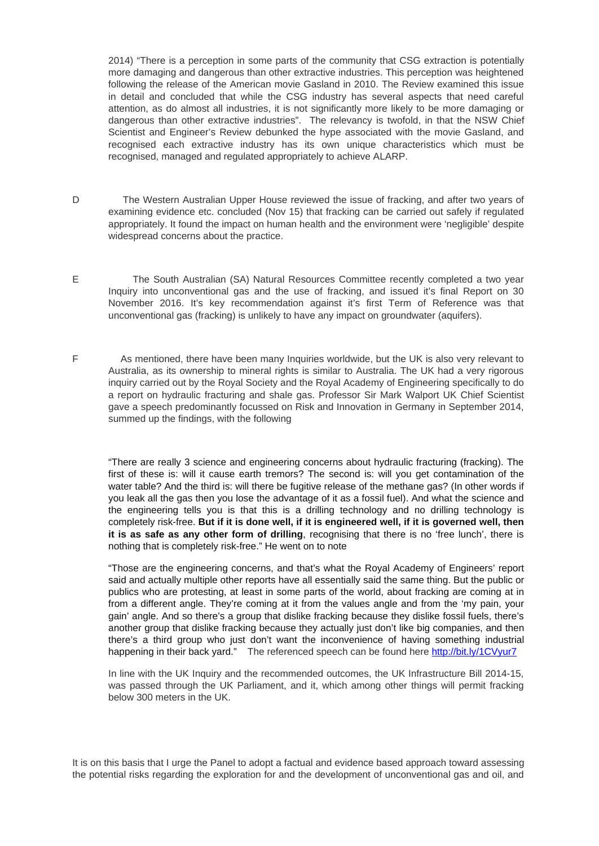2014) "There is a perception in some parts of the community that CSG extraction is potentially more damaging and dangerous than other extractive industries. This perception was heightened following the release of the American movie Gasland in 2010. The Review examined this issue in detail and concluded that while the CSG industry has several aspects that need careful attention, as do almost all industries, it is not significantly more likely to be more damaging or dangerous than other extractive industries". The relevancy is twofold, in that the NSW Chief Scientist and Engineer's Review debunked the hype associated with the movie Gasland, and recognised each extractive industry has its own unique characteristics which must be recognised, managed and regulated appropriately to achieve ALARP.

- D The Western Australian Upper House reviewed the issue of fracking, and after two years of examining evidence etc. concluded (Nov 15) that fracking can be carried out safely if regulated appropriately. It found the impact on human health and the environment were 'negligible' despite widespread concerns about the practice.
- E The South Australian (SA) Natural Resources Committee recently completed a two year Inquiry into unconventional gas and the use of fracking, and issued it's final Report on 30 November 2016. It's key recommendation against it's first Term of Reference was that unconventional gas (fracking) is unlikely to have any impact on groundwater (aquifers).
- F As mentioned, there have been many Inquiries worldwide, but the UK is also very relevant to Australia, as its ownership to mineral rights is similar to Australia. The UK had a very rigorous inquiry carried out by the Royal Society and the Royal Academy of Engineering specifically to do a report on hydraulic fracturing and shale gas. Professor Sir Mark Walport UK Chief Scientist gave a speech predominantly focussed on Risk and Innovation in Germany in September 2014, summed up the findings, with the following

"There are really 3 science and engineering concerns about hydraulic fracturing (fracking). The first of these is: will it cause earth tremors? The second is: will you get contamination of the water table? And the third is: will there be fugitive release of the methane gas? (In other words if you leak all the gas then you lose the advantage of it as a fossil fuel). And what the science and the engineering tells you is that this is a drilling technology and no drilling technology is completely risk-free. **But if it is done well, if it is engineered well, if it is governed well, then it is as safe as any other form of drilling**, recognising that there is no 'free lunch', there is nothing that is completely risk-free." He went on to note

"Those are the engineering concerns, and that's what the Royal Academy of Engineers' report said and actually multiple other reports have all essentially said the same thing. But the public or publics who are protesting, at least in some parts of the world, about fracking are coming at in from a different angle. They're coming at it from the values angle and from the 'my pain, your gain' angle. And so there's a group that dislike fracking because they dislike fossil fuels, there's another group that dislike fracking because they actually just don't like big companies, and then there's a third group who just don't want the inconvenience of having something industrial happening in their back yard." The referenced speech can be found here http://bit.ly/1CVyur7

In line with the UK Inquiry and the recommended outcomes, the UK Infrastructure Bill 2014-15, was passed through the UK Parliament, and it, which among other things will permit fracking below 300 meters in the UK.

It is on this basis that I urge the Panel to adopt a factual and evidence based approach toward assessing the potential risks regarding the exploration for and the development of unconventional gas and oil, and